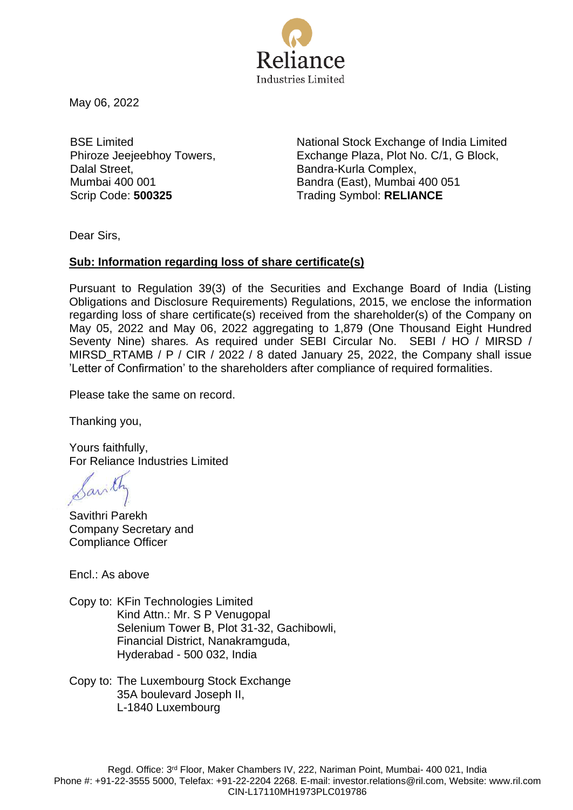

May 06, 2022

BSE Limited Phiroze Jeejeebhoy Towers, Dalal Street, Mumbai 400 001

National Stock Exchange of India Limited Exchange Plaza, Plot No. C/1, G Block, Bandra-Kurla Complex, Bandra (East), Mumbai 400 051 Scrip Code: **500325** Trading Symbol: **RELIANCE**

Dear Sirs,

## **Sub: Information regarding loss of share certificate(s)**

Pursuant to Regulation 39(3) of the Securities and Exchange Board of India (Listing Obligations and Disclosure Requirements) Regulations, 2015, we enclose the information regarding loss of share certificate(s) received from the shareholder(s) of the Company on May 05, 2022 and May 06, 2022 aggregating to 1,879 (One Thousand Eight Hundred Seventy Nine) shares*.* As required under SEBI Circular No. SEBI / HO / MIRSD / MIRSD\_RTAMB / P / CIR / 2022 / 8 dated January 25, 2022, the Company shall issue 'Letter of Confirmation' to the shareholders after compliance of required formalities.

Please take the same on record.

Thanking you,

Yours faithfully, For Reliance Industries Limited

avilh

Savithri Parekh Company Secretary and Compliance Officer

Encl.: As above

Copy to: KFin Technologies Limited Kind Attn.: Mr. S P Venugopal Selenium Tower B, Plot 31-32, Gachibowli, Financial District, Nanakramguda, Hyderabad - 500 032, India

Copy to: The Luxembourg Stock Exchange 35A boulevard Joseph II, L-1840 Luxembourg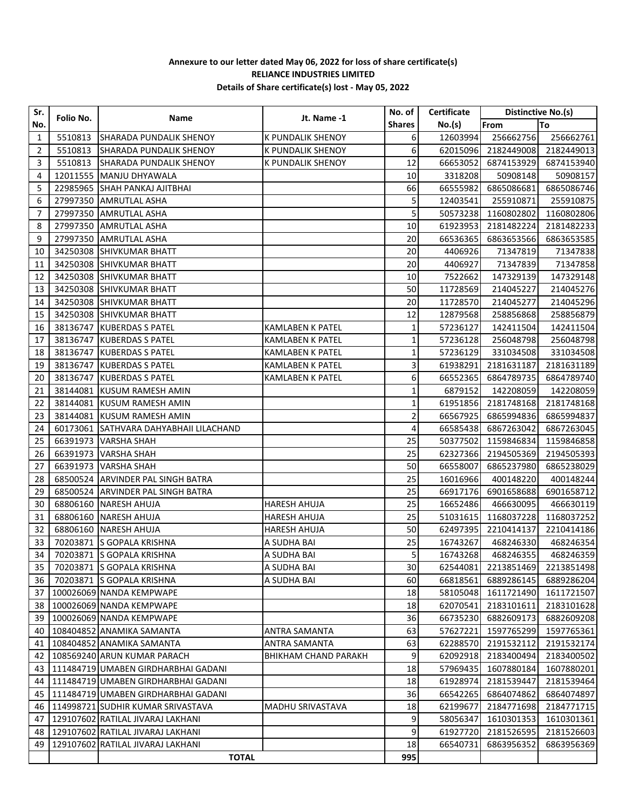## **Annexure to our letter dated May 06, 2022 for loss of share certificate(s) RELIANCE INDUSTRIES LIMITED Details of Share certificate(s) lost - May 05, 2022**

| Sr.<br>No. | Folio No. | Name                                   | Jt. Name -1                 | No. of        | Certificate | Distinctive No.(s) |            |
|------------|-----------|----------------------------------------|-----------------------------|---------------|-------------|--------------------|------------|
|            |           |                                        |                             | <b>Shares</b> | No.(s)      | From               | To         |
| 1          | 5510813   | SHARADA PUNDALIK SHENOY                | <b>K PUNDALIK SHENOY</b>    | 6             | 12603994    | 256662756          | 256662761  |
| 2          | 5510813   | SHARADA PUNDALIK SHENOY                | <b>K PUNDALIK SHENOY</b>    | 6             | 62015096    | 2182449008         | 2182449013 |
| 3          | 5510813   | <b>SHARADA PUNDALIK SHENOY</b>         | K PUNDALIK SHENOY           | 12            | 66653052    | 6874153929         | 6874153940 |
| 4          |           | 12011555   MANJU DHYAWALA              |                             | 10            | 3318208     | 50908148           | 50908157   |
| 5          |           | 22985965 SHAH PANKAJ AJITBHAI          |                             | 66            | 66555982    | 6865086681         | 6865086746 |
| 6          | 27997350  | <b>AMRUTLAL ASHA</b>                   |                             | 5             | 12403541    | 255910871          | 255910875  |
| 7          | 27997350  | <b>AMRUTLAL ASHA</b>                   |                             | 5             | 50573238    | 1160802802         | 1160802806 |
| 8          | 27997350  | <b>AMRUTLAL ASHA</b>                   |                             | 10            | 61923953    | 2181482224         | 2181482233 |
| 9          | 27997350  | <b>AMRUTLAL ASHA</b>                   |                             | 20            | 66536365    | 6863653566         | 6863653585 |
| 10         | 34250308  | <b>SHIVKUMAR BHATT</b>                 |                             | 20            | 4406926     | 71347819           | 71347838   |
| 11         | 34250308  | <b>SHIVKUMAR BHATT</b>                 |                             | 20            | 4406927     | 71347839           | 71347858   |
| 12         | 34250308  | <b>SHIVKUMAR BHATT</b>                 |                             | 10            | 7522662     | 147329139          | 147329148  |
| 13         | 34250308  | <b>SHIVKUMAR BHATT</b>                 |                             | 50            | 11728569    | 214045227          | 214045276  |
| 14         | 34250308  | <b>SHIVKUMAR BHATT</b>                 |                             | 20            | 11728570    | 214045277          | 214045296  |
| 15         | 34250308  | <b>SHIVKUMAR BHATT</b>                 |                             | 12            | 12879568    | 258856868          | 258856879  |
| 16         | 38136747  | <b>KUBERDAS S PATEL</b>                | <b>KAMLABEN K PATEL</b>     | $\mathbf 1$   | 57236127    | 142411504          | 142411504  |
| 17         |           | 38136747 KUBERDAS S PATEL              | <b>KAMLABEN K PATEL</b>     | 1             | 57236128    | 256048798          | 256048798  |
| 18         |           | 38136747 KUBERDAS S PATEL              | KAMLABEN K PATEL            | $\mathbf{1}$  | 57236129    | 331034508          | 331034508  |
| 19         |           | 38136747 KUBERDAS S PATEL              | <b>KAMLABEN K PATEL</b>     | 3             | 61938291    | 2181631187         | 2181631189 |
| 20         |           | 38136747 KUBERDAS S PATEL              | <b>KAMLABEN K PATEL</b>     | 6             | 66552365    | 6864789735         | 6864789740 |
| 21         |           | 38144081 KUSUM RAMESH AMIN             |                             | 1             | 6879152     | 142208059          | 142208059  |
| 22         |           | 38144081 KUSUM RAMESH AMIN             |                             | $\mathbf 1$   | 61951856    | 2181748168         | 2181748168 |
| 23         | 38144081  | KUSUM RAMESH AMIN                      |                             | 2             | 66567925    | 6865994836         | 6865994837 |
| 24         |           | 60173061 SATHVARA DAHYABHAII LILACHAND |                             | 4             | 66585438    | 6867263042         | 6867263045 |
| 25         | 66391973  | <b>VARSHA SHAH</b>                     |                             | 25            | 50377502    | 1159846834         | 1159846858 |
| 26         | 66391973  | <b>VARSHA SHAH</b>                     |                             | 25            | 62327366    | 2194505369         | 2194505393 |
| 27         | 66391973  | <b>VARSHA SHAH</b>                     |                             | 50            | 66558007    | 6865237980         | 6865238029 |
| 28         |           | 68500524 ARVINDER PAL SINGH BATRA      |                             | 25            | 16016966    | 400148220          | 400148244  |
| 29         |           | 68500524 ARVINDER PAL SINGH BATRA      |                             | 25            | 66917176    | 6901658688         | 6901658712 |
| 30         | 68806160  | <b>NARESH AHUJA</b>                    | <b>HARESH AHUJA</b>         | 25            | 16652486    | 466630095          | 466630119  |
| 31         | 68806160  | <b>NARESH AHUJA</b>                    | <b>HARESH AHUJA</b>         | 25            | 51031615    | 1168037228         | 1168037252 |
| 32         | 68806160  | <b>NARESH AHUJA</b>                    | <b>HARESH AHUJA</b>         | 50            | 62497395    | 2210414137         | 2210414186 |
| 33         |           | 70203871 S GOPALA KRISHNA              | A SUDHA BAI                 | 25            | 16743267    | 468246330          | 468246354  |
| 34         |           | 70203871 S GOPALA KRISHNA              | A SUDHA BAI                 | 5             | 16743268    | 468246355          | 468246359  |
| 35         |           | 70203871 S GOPALA KRISHNA              | A SUDHA BAI                 | 30            | 62544081    | 2213851469         | 2213851498 |
| 36         |           | 70203871 S GOPALA KRISHNA              | A SUDHA BAI                 | 60            | 66818561    | 6889286145         | 6889286204 |
| 37         |           | 100026069 NANDA KEMPWAPE               |                             | 18            | 58105048    | 1611721490         | 1611721507 |
| 38         |           | 100026069 NANDA KEMPWAPE               |                             | 18            | 62070541    | 2183101611         | 2183101628 |
| 39         |           | 100026069 NANDA KEMPWAPE               |                             | 36            | 66735230    | 6882609173         | 6882609208 |
| 40         |           | 108404852 ANAMIKA SAMANTA              | ANTRA SAMANTA               | 63            | 57627221    | 1597765299         | 1597765361 |
| 41         |           | 108404852 ANAMIKA SAMANTA              | <b>ANTRA SAMANTA</b>        | 63            | 62288570    | 2191532112         | 2191532174 |
| 42         |           | 108569240 ARUN KUMAR PARACH            | <b>BHIKHAM CHAND PARAKH</b> | 9             | 62092918    | 2183400494         | 2183400502 |
| 43         |           | 111484719 UMABEN GIRDHARBHAI GADANI    |                             | 18            | 57969435    | 1607880184         | 1607880201 |
| 44         |           | 111484719 UMABEN GIRDHARBHAI GADANI    |                             | 18            | 61928974    | 2181539447         | 2181539464 |
| 45         |           | 111484719 UMABEN GIRDHARBHAI GADANI    |                             | 36            | 66542265    | 6864074862         | 6864074897 |
| 46         |           | 114998721 SUDHIR KUMAR SRIVASTAVA      | MADHU SRIVASTAVA            | 18            | 62199677    | 2184771698         | 2184771715 |
| 47         |           | 129107602 RATILAL JIVARAJ LAKHANI      |                             | 9             | 58056347    | 1610301353         | 1610301361 |
| 48         |           | 129107602 RATILAL JIVARAJ LAKHANI      |                             | 9             | 61927720    | 2181526595         | 2181526603 |
| 49         |           | 129107602 RATILAL JIVARAJ LAKHANI      |                             | 18            | 66540731    | 6863956352         | 6863956369 |
|            |           | <b>TOTAL</b>                           |                             | 995           |             |                    |            |